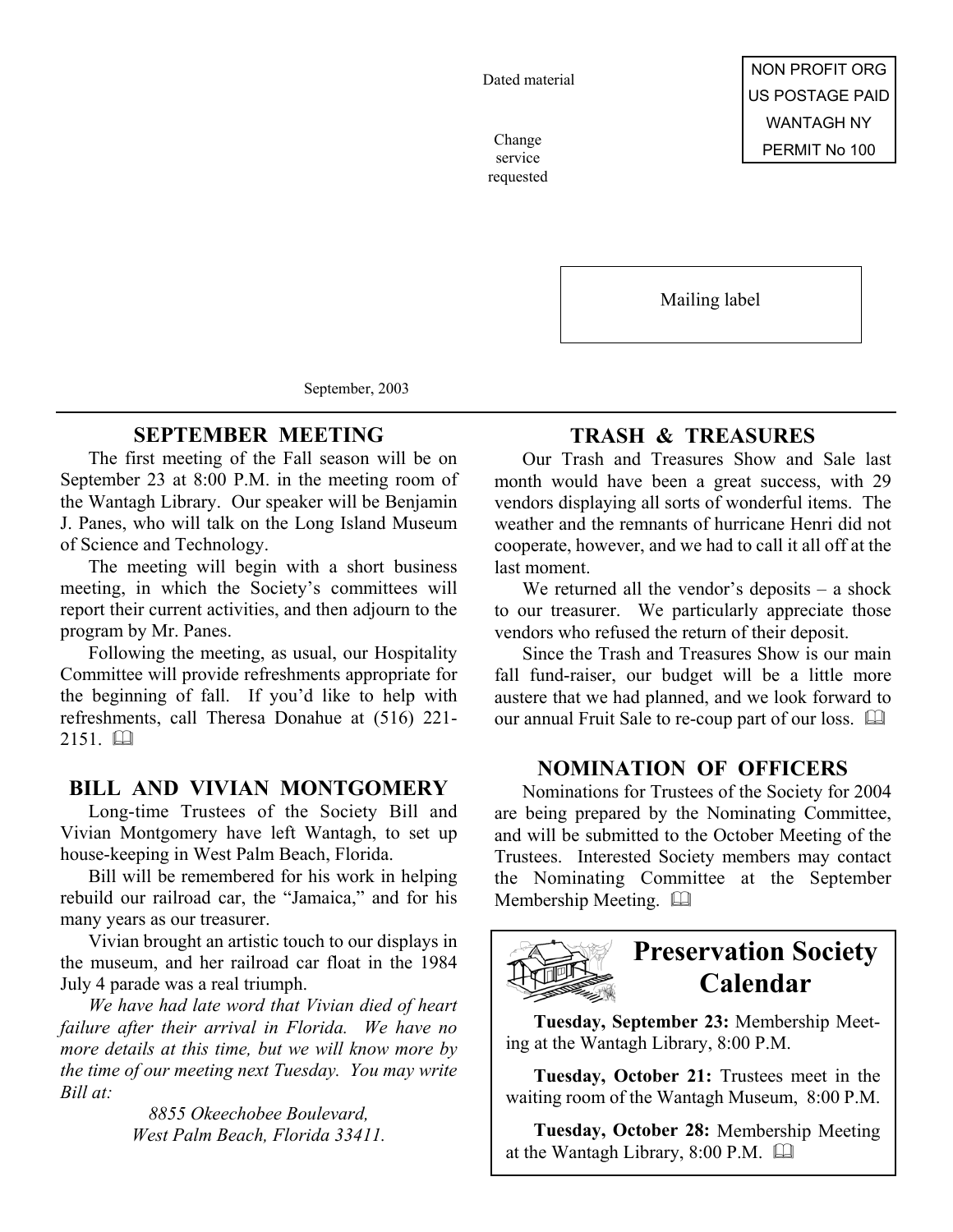Dated material

service requested

Mailing label

September, 2003

### **SEPTEMBER MEETING**

The first meeting of the Fall season will be on September 23 at 8:00 P.M. in the meeting room of the Wantagh Library. Our speaker will be Benjamin J. Panes, who will talk on the Long Island Museum of Science and Technology.

The meeting will begin with a short business meeting, in which the Society's committees will report their current activities, and then adjourn to the program by Mr. Panes.

Following the meeting, as usual, our Hospitality Committee will provide refreshments appropriate for the beginning of fall. If you'd like to help with refreshments, call Theresa Donahue at (516) 221-  $2151$   $\Box$ 

### **BILL AND VIVIAN MONTGOMERY**

Long-time Trustees of the Society Bill and Vivian Montgomery have left Wantagh, to set up house-keeping in West Palm Beach, Florida.

Bill will be remembered for his work in helping rebuild our railroad car, the "Jamaica," and for his many years as our treasurer.

Vivian brought an artistic touch to our displays in the museum, and her railroad car float in the 1984 July 4 parade was a real triumph.

*We have had late word that Vivian died of heart failure after their arrival in Florida. We have no more details at this time, but we will know more by the time of our meeting next Tuesday. You may write Bill at:*

> *8855 Okeechobee Boulevard, West Palm Beach, Florida 33411.*

### **TRASH & TREASURES**

Our Trash and Treasures Show and Sale last month would have been a great success, with 29 vendors displaying all sorts of wonderful items. The weather and the remnants of hurricane Henri did not cooperate, however, and we had to call it all off at the last moment.

We returned all the vendor's deposits – a shock to our treasurer. We particularly appreciate those vendors who refused the return of their deposit.

Since the Trash and Treasures Show is our main fall fund-raiser, our budget will be a little more austere that we had planned, and we look forward to our annual Fruit Sale to re-coup part of our loss.  $\square$ 

### **NOMINATION OF OFFICERS**

Nominations for Trustees of the Society for 2004 are being prepared by the Nominating Committee, and will be submitted to the October Meeting of the Trustees. Interested Society members may contact the Nominating Committee at the September Membership Meeting. 



## **Preservation Society Calendar**

**Tuesday, September 23:** Membership Meeting at the Wantagh Library, 8:00 P.M.

**Tuesday, October 21:** Trustees meet in the waiting room of the Wantagh Museum, 8:00 P.M.

**Tuesday, October 28:** Membership Meeting at the Wantagh Library, 8:00 P.M.